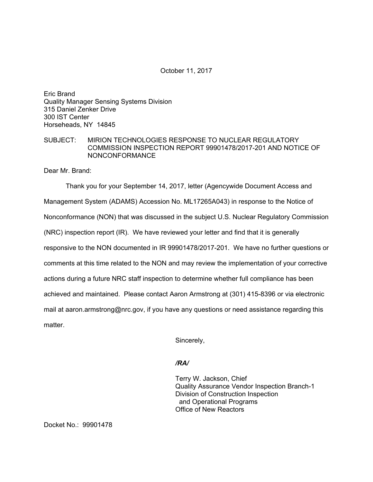## October 11, 2017

Eric Brand Quality Manager Sensing Systems Division 315 Daniel Zenker Drive 300 IST Center Horseheads, NY 14845

## SUBJECT: MIRION TECHNOLOGIES RESPONSE TO NUCLEAR REGULATORY COMMISSION INSPECTION REPORT 99901478/2017-201 AND NOTICE OF NONCONFORMANCE

Dear Mr. Brand:

Thank you for your September 14, 2017, letter (Agencywide Document Access and Management System (ADAMS) Accession No. ML17265A043) in response to the Notice of Nonconformance (NON) that was discussed in the subject U.S. Nuclear Regulatory Commission (NRC) inspection report (IR). We have reviewed your letter and find that it is generally responsive to the NON documented in IR 99901478/2017-201. We have no further questions or comments at this time related to the NON and may review the implementation of your corrective actions during a future NRC staff inspection to determine whether full compliance has been achieved and maintained. Please contact Aaron Armstrong at (301) 415-8396 or via electronic mail at aaron.armstrong@nrc.gov, if you have any questions or need assistance regarding this matter.

Sincerely,

## */RA/*

Terry W. Jackson, Chief Quality Assurance Vendor Inspection Branch-1 Division of Construction Inspection and Operational Programs Office of New Reactors

Docket No.: 99901478